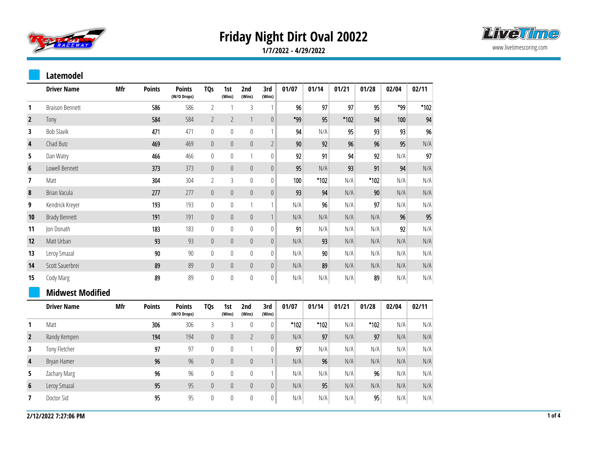



**1/7/2022 - 4/29/2022**

## **Latemodel**

|                          | <b>Driver Name</b>      | Mfr | <b>Points</b> | <b>Points</b><br>(W/O Drops) | <b>TQs</b>     | 1st<br>(Wins)    | 2nd<br>(Wins)  | 3rd<br>(Wins)    | 01/07 | 01/14  | 01/21 | 01/28  | 02/04 | 02/11                   |
|--------------------------|-------------------------|-----|---------------|------------------------------|----------------|------------------|----------------|------------------|-------|--------|-------|--------|-------|-------------------------|
| 1                        | <b>Braison Bennett</b>  |     | 586           | 586                          | $\overline{2}$ | 1                | 3              | $\mathbf{1}$     | 96    | 97     | 97    | 95     | *99   | $*102$                  |
| $\overline{2}$           | Tony                    |     | 584           | 584                          | $\overline{2}$ | $\overline{2}$   | $\mathbf{1}$   | $\theta$         | *99   | 95     | *102  | 94     | 100   | 94                      |
| 3                        | <b>Bob Slavik</b>       |     | 471           | 471                          | $\mathbb{0}$   | $\mathbb O$      | $\mathbb O$    | 1                | 94    | N/A    | 95    | 93     | 93    | 96                      |
| 4                        | Chad Butz               |     | 469           | 469                          | $\mathbb O$    | $\boldsymbol{0}$ | $\theta$       | $\overline{2}$   | 90    | 92     | 96    | 96     | 95    | N/A                     |
| 5                        | Dan Watry               |     | 466           | 466                          | $\mathbb O$    | $\mathbf 0$      | $\mathbf{1}$   | $\boldsymbol{0}$ | 92    | 91     | 94    | 92     | N/A   | 97                      |
| $\boldsymbol{6}$         | Lowell Bennett          |     | 373           | 373                          | $\mathbf 0$    | $\pmb{0}$        | $\theta$       | $\mathbb O$      | 95    | N/A    | 93    | 91     | 94    | N/A                     |
| $\overline{\phantom{a}}$ | Matt                    |     | 304           | 304                          | $\overline{2}$ | 3                | $\mathbb O$    | $\boldsymbol{0}$ | 100   | $*102$ | N/A   | $*102$ | N/A   | N/A                     |
| 8                        | Brian Vacula            |     | 277           | 277                          | $\mathbb O$    | $\mathbb O$      | $\mathbf 0$    | $\mathbf 0$      | 93    | 94     | N/A   | 90     | N/A   | N/A                     |
| 9                        | Kendrick Kreyer         |     | 193           | 193                          | $\mathbb{0}$   | $\mathbb O$      | $\mathbf{1}$   | $\mathbf{1}$     | N/A   | 96     | N/A   | 97     | N/A   | N/A                     |
| 10                       | <b>Brady Bennett</b>    |     | 191           | 191                          | $\mathbb O$    | $\boldsymbol{0}$ | $\theta$       | $\mathbf{1}$     | N/A   | N/A    | N/A   | N/A    | 96    | 95                      |
| 11                       | Jon Donath              |     | 183           | 183                          | $\mathbb{0}$   | $\mathbb O$      | $\theta$       | $\boldsymbol{0}$ | 91    | N/A    | N/A   | N/A    | 92    | N/A                     |
| 12                       | Matt Urban              |     | 93            | 93                           | $\mathbb O$    | $\boldsymbol{0}$ | $\mathbb O$    | $\mathbb O$      | N/A   | 93     | N/A   | N/A    | N/A   | N/A                     |
| 13                       | Leroy Smazal            |     | $90\,$        | 90                           | $\pmb{0}$      | $\mathbf{0}$     | $\theta$       | $\mathbf{0}$     | N/A   | 90     | N/A   | N/A    | N/A   | N/A                     |
| 14                       | Scott Sauerbrei         |     | 89            | 89                           | $\mathbb O$    | $\pmb{0}$        | $\mathbf 0$    | $\mathbf 0$      | N/A   | 89     | N/A   | N/A    | N/A   | N/A                     |
| 15                       | Cody Marg               |     | 89            | 89                           | $\mathbf 0$    | $\mathbb O$      | $\mathbf 0$    | 0                | N/A   | N/A    | N/A   | 89     | N/A   | $\mathsf{N}/\mathsf{A}$ |
|                          | <b>Midwest Modified</b> |     |               |                              |                |                  |                |                  |       |        |       |        |       |                         |
|                          | <b>Driver Name</b>      | Mfr | <b>Points</b> | <b>Points</b><br>(W/O Drops) | <b>TQs</b>     | 1st<br>(Wins)    | 2nd<br>(Wins)  | 3rd<br>(Wins)    | 01/07 | 01/14  | 01/21 | 01/28  | 02/04 | 02/11                   |
| 1                        | Matt                    |     | 306           | 306                          | $\overline{3}$ | 3                | $\mathbb O$    | $\mathbf{0}$     | *102  | *102   | N/A   | $*102$ | N/A   | N/A                     |
| $\overline{2}$           | Randy Kempen            |     | 194           | 194                          | $\mathbb O$    | $\boldsymbol{0}$ | $\overline{2}$ | $\mathbb O$      | N/A   | 97     | N/A   | 97     | N/A   | N/A                     |
| 3                        | Tony Fletcher           |     | 97            | 97                           | $\mathbb O$    | $\mathbb O$      | $\mathbf{1}$   | $\boldsymbol{0}$ | 97    | N/A    | N/A   | N/A    | N/A   | N/A                     |
| $\overline{\mathbf{4}}$  | Bryan Hamer             |     | 96            | 96                           | $\mathbb O$    | $\boldsymbol{0}$ | $\mathbf 0$    | $\mathbf{1}$     | N/A   | 96     | N/A   | N/A    | N/A   | N/A                     |
| 5                        | Zachary Marg            |     | 96            | 96                           | $\mathbb O$    | $\mathbf 0$      | $\mathbb O$    | $\mathbf{1}$     | N/A   | N/A    | N/A   | 96     | N/A   | N/A                     |
| $6\phantom{1}$           | Leroy Smazal            |     | 95            | 95                           | $\mathbb O$    | $\boldsymbol{0}$ | $\mathbf 0$    | $\mathbb O$      | N/A   | 95     | N/A   | N/A    | N/A   | N/A                     |
| 7                        | Doctor Sid              |     | 95            | 95                           | $\mathbb O$    | $\mathbf 0$      | $\mathbb O$    | $\boldsymbol{0}$ | N/A   | N/A    | N/A   | 95     | N/A   | N/A                     |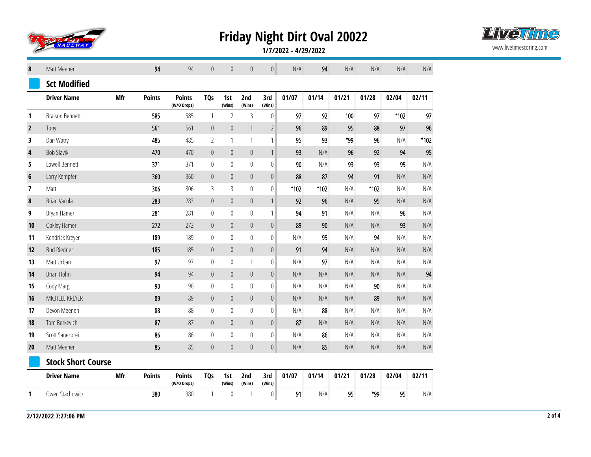



**1/7/2022 - 4/29/2022**

| 8            | Matt Meenen               |     | 94            | 94                           | $\theta$       | $\mathbf{0}$     | $\theta$         | $\mathbf 0$      | N/A    | 94    | N/A   | N/A    | N/A    | N/A   |
|--------------|---------------------------|-----|---------------|------------------------------|----------------|------------------|------------------|------------------|--------|-------|-------|--------|--------|-------|
|              | <b>Sct Modified</b>       |     |               |                              |                |                  |                  |                  |        |       |       |        |        |       |
|              | <b>Driver Name</b>        | Mfr | <b>Points</b> | <b>Points</b><br>(W/O Drops) | <b>TQs</b>     | 1st<br>(Wins)    | 2nd<br>(Wins)    | 3rd<br>(Wins)    | 01/07  | 01/14 | 01/21 | 01/28  | 02/04  | 02/11 |
| 1            | <b>Braison Bennett</b>    |     | 585           | 585                          | $\mathbf{1}$   | $\overline{2}$   | 3                | $\boldsymbol{0}$ | 97     | 92    | 100   | 97     | $*102$ | 97    |
| $\mathbf{2}$ | Tony                      |     | 561           | 561                          | $\mathbb O$    | $\pmb{0}$        | $\mathbf{1}$     | $\overline{2}$   | 96     | 89    | 95    | 88     | 97     | 96    |
| 3            | Dan Watry                 |     | 485           | 485                          | $\overline{2}$ | 1                | $\mathbf{1}$     | $\mathbf{1}$     | 95     | 93    | *99   | 96     | N/A    | *102  |
| 4            | <b>Bob Slavik</b>         |     | 470           | 470                          | $\mathbb O$    | $\mathbf 0$      | $\overline{0}$   | $\mathbf{1}$     | 93     | N/A   | 96    | 92     | 94     | 95    |
| 5            | Lowell Bennett            |     | 371           | 371                          | $\mathbb O$    | $\mathbf{0}$     | $\mathbf 0$      | $\mathbf{0}$     | 90     | N/A   | 93    | 93     | 95     | N/A   |
| 6            | Larry Kempfer             |     | 360           | 360                          | $\mathbb O$    | $\theta$         | $\mathbf{0}$     | $\pmb{0}$        | 88     | 87    | 94    | 91     | N/A    | N/A   |
| 7            | Matt                      |     | 306           | 306                          | $\mathfrak{Z}$ | 3                | $\overline{0}$   | $\pmb{0}$        | $*102$ | *102  | N/A   | $*102$ | N/A    | N/A   |
| $\pmb{8}$    | Brian Vacula              |     | 283           | 283                          | $\mathbb O$    | $\mathbb O$      | $\boldsymbol{0}$ | $\mathbf{1}$     | 92     | 96    | N/A   | 95     | N/A    | N/A   |
| 9            | Bryan Hamer               |     | 281           | 281                          | $\mathbb O$    | $\mathbb O$      | $\mathbf 0$      | $\mathbf{1}$     | 94     | 91    | N/A   | N/A    | 96     | N/A   |
| 10           | Oakley Hamer              |     | 272           | 272                          | $\mathbb O$    | $\mathbb O$      | $\mathbf 0$      | $\pmb{0}$        | 89     | 90    | N/A   | N/A    | 93     | N/A   |
| 11           | Kendrick Kreyer           |     | 189           | 189                          | $\mathbb O$    | 0                | $\mathbf 0$      | 0                | N/A    | 95    | N/A   | 94     | N/A    | N/A   |
| 12           | <b>Bud Riedner</b>        |     | 185           | 185                          | $\mathbb O$    | $\theta$         | $\mathbf 0$      | $\pmb{0}$        | 91     | 94    | N/A   | N/A    | N/A    | N/A   |
| 13           | Matt Urban                |     | 97            | 97                           | $\mathbb O$    | $\boldsymbol{0}$ | $\mathbf{1}$     | $\mathbf{0}$     | N/A    | 97    | N/A   | N/A    | N/A    | N/A   |
| 14           | Brian Hohn                |     | 94            | 94                           | $\mathbb O$    | $\mathbf{0}$     | $\overline{0}$   | $\pmb{0}$        | N/A    | N/A   | N/A   | N/A    | N/A    | 94    |
| 15           | Cody Marg                 |     | 90            | 90                           | $\mathbb O$    | $\mathbf 0$      | $\mathbb O$      | $\mathbf 0$      | N/A    | N/A   | N/A   | 90     | N/A    | N/A   |
| 16           | MICHELE KREYER            |     | 89            | 89                           | $\mathbb O$    | $\mathbf{0}$     | $\mathbf{0}$     | $\mathbf{0}$     | N/A    | N/A   | N/A   | 89     | N/A    | N/A   |
| 17           | Devon Meenen              |     | 88            | 88                           | $\mathbb O$    | $\mathbf{0}$     | $\mathbb O$      | $\pmb{0}$        | N/A    | 88    | N/A   | N/A    | N/A    | N/A   |
| 18           | Tom Berkevich             |     | 87            | 87                           | $\mathbb O$    | $\pmb{0}$        | $\mathbf 0$      | $\pmb{0}$        | 87     | N/A   | N/A   | N/A    | N/A    | N/A   |
| 19           | Scott Sauerbrei           |     | 86            | 86                           | $\mathbb O$    | $\boldsymbol{0}$ | $\mathbb O$      | $\mathbf{0}$     | N/A    | 86    | N/A   | N/A    | N/A    | N/A   |
| 20           | Matt Meenen               |     | 85            | 85                           | $\mathbb O$    | $\overline{0}$   | $\mathbb O$      | $\boldsymbol{0}$ | N/A    | 85    | N/A   | N/A    | N/A    | N/A   |
|              | <b>Stock Short Course</b> |     |               |                              |                |                  |                  |                  |        |       |       |        |        |       |
|              | <b>Driver Name</b>        | Mfr | <b>Points</b> | <b>Points</b><br>(W/O Drops) | <b>TQs</b>     | 1st<br>(Wins)    | 2nd<br>(Wins)    | 3rd<br>(Wins)    | 01/07  | 01/14 | 01/21 | 01/28  | 02/04  | 02/11 |
| 1            | Owen Stachowicz           |     | 380           | 380                          | $\mathbf{1}$   | $\mathbf{0}$     | 1                | $\bf{0}$         | 91     | N/A   | 95    | *99    | 95     | N/A   |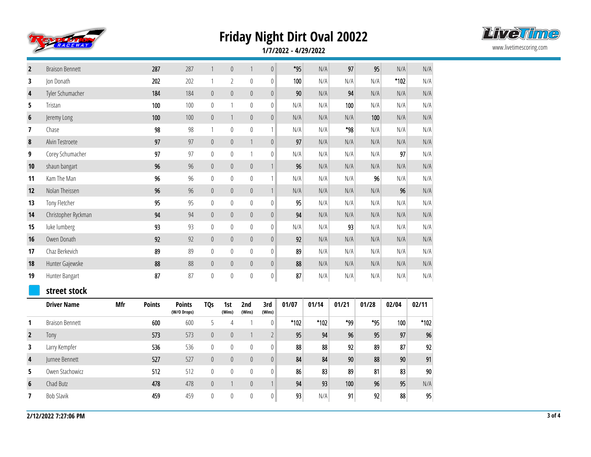



**1/7/2022 - 4/29/2022**

| $\overline{2}$ | <b>Braison Bennett</b> |     | 287           | 287                          | $\mathbf{1}$     | $\mathbf 0$      | $\mathbf{1}$  | $\mathbf 0$      | $*95$ | N/A    | 97    | 95    | N/A    | N/A    |
|----------------|------------------------|-----|---------------|------------------------------|------------------|------------------|---------------|------------------|-------|--------|-------|-------|--------|--------|
| 3              | Jon Donath             |     | 202           | 202                          | $\mathbf{1}$     | $\overline{2}$   | $\mathbb O$   | $\boldsymbol{0}$ | 100   | N/A    | N/A   | N/A   | $*102$ | N/A    |
| 4              | Tyler Schumacher       |     | 184           | 184                          | $\boldsymbol{0}$ | $\mathbb O$      | $\pmb{0}$     | $\boldsymbol{0}$ | 90    | N/A    | 94    | N/A   | N/A    | N/A    |
| 5              | Tristan                |     | 100           | 100                          | $\mathbb{0}$     | 1                | $\mathbf 0$   | $\boldsymbol{0}$ | N/A   | N/A    | 100   | N/A   | N/A    | N/A    |
| 6              | Jeremy Long            |     | 100           | 100                          | $\boldsymbol{0}$ | $\mathbf{1}$     | $\mathbb O$   | $\boldsymbol{0}$ | N/A   | N/A    | N/A   | 100   | N/A    | N/A    |
| 7              | Chase                  |     | 98            | 98                           | $\mathbf{1}$     | $\bf{0}$         | $\mathbb O$   | $\mathbf{1}$     | N/A   | N/A    | *98   | N/A   | N/A    | N/A    |
| 8              | Alvin Testroete        |     | 97            | 97                           | $\mathbb O$      | $\boldsymbol{0}$ | $\mathbf{1}$  | $\mathbf 0$      | 97    | N/A    | N/A   | N/A   | N/A    | N/A    |
| 9              | Corey Schumacher       |     | 97            | 97                           | $\boldsymbol{0}$ | $\mathbb O$      | $\mathbf{1}$  | $\mathbb{0}$     | N/A   | N/A    | N/A   | N/A   | 97     | N/A    |
| 10             | shaun bangart          |     | 96            | 96                           | $\mathbf 0$      | $\mathbb O$      | $\pmb{0}$     | $\mathbf{1}$     | 96    | N/A    | N/A   | N/A   | N/A    | N/A    |
| 11             | Kam The Man            |     | 96            | 96                           | $\mathbf 0$      | $\mathbb O$      | $\mathbf 0$   | $\mathbf{1}$     | N/A   | N/A    | N/A   | 96    | N/A    | N/A    |
| 12             | Nolan Theissen         |     | 96            | 96                           | $\boldsymbol{0}$ | $\boldsymbol{0}$ | $\mathbb O$   | $\mathbf{1}$     | N/A   | N/A    | N/A   | N/A   | 96     | N/A    |
| 13             | Tony Fletcher          |     | 95            | 95                           | $\mathbb{0}$     | $\mathbb O$      | $\mathbf 0$   | $\boldsymbol{0}$ | 95    | N/A    | N/A   | N/A   | N/A    | N/A    |
| 14             | Christopher Ryckman    |     | 94            | 94                           | $\mathbb O$      | $\boldsymbol{0}$ | $\mathbf 0$   | $\mathbf 0$      | 94    | N/A    | N/A   | N/A   | N/A    | N/A    |
| 15             | luke lumberg           |     | 93            | 93                           | $\mathbb{0}$     | $\mathbb O$      | $\mathbb O$   | $\mathbb{0}$     | N/A   | N/A    | 93    | N/A   | N/A    | N/A    |
| 16             | Owen Donath            |     | 92            | 92                           | $\mathbf 0$      | $\mathbb O$      | $\mathbb O$   | $\mathbf 0$      | 92    | N/A    | N/A   | N/A   | N/A    | N/A    |
| 17             | Chaz Berkevich         |     | 89            | 89                           | $\mathbf 0$      | $\mathbf 0$      | $\mathbf 0$   | $\boldsymbol{0}$ | 89    | N/A    | N/A   | N/A   | N/A    | N/A    |
| 18             | Hunter Gajewske        |     | 88            | 88                           | $\mathbf 0$      | $\pmb{0}$        | $\mathbb O$   | $\mathbf 0$      | 88    | N/A    | N/A   | N/A   | N/A    | N/A    |
| 19             | Hunter Bangart         |     | 87            | 87                           | $\mathbf 0$      | $\mathbf 0$      | $\mathbf 0$   | 0                | 87    | N/A    | N/A   | N/A   | N/A    | N/A    |
|                | street stock           |     |               |                              |                  |                  |               |                  |       |        |       |       |        |        |
|                | <b>Driver Name</b>     | Mfr | <b>Points</b> | <b>Points</b><br>(W/O Drops) | <b>TQs</b>       | 1st<br>(Wins)    | 2nd<br>(Wins) | 3rd<br>(Wins)    | 01/07 | 01/14  | 01/21 | 01/28 | 02/04  | 02/11  |
| 1              | <b>Braison Bennett</b> |     | 600           | 600                          | 5                | $\overline{4}$   | $\mathbf{1}$  | $\mathbb O$      | *102  | $*102$ | *99   | $*95$ | 100    | $*102$ |
| $\overline{2}$ | Tony                   |     | 573           | 573                          | $\mathbb O$      | $\mathbb O$      | $\mathbf{1}$  | $\overline{2}$   | 95    | 94     | 96    | 95    | 97     | 96     |
| 3              | Larry Kempfer          |     | 536           | 536                          | $\mathbb{0}$     | $\mathbf 0$      | $\mathbb O$   | $\mathbb{0}$     | 88    | 88     | 92    | 89    | 87     | 92     |
| 4              | Jurnee Bennett         |     | 527           | 527                          | $\boldsymbol{0}$ | $\pmb{0}$        | $\mathbf{0}$  | $\mathbf 0$      | 84    | 84     | 90    | 88    | 90     | 91     |
| 5              | Owen Stachowicz        |     | 512           | 512                          | $\mathbb{0}$     | 0                | $\mathbb O$   | $\mathbb{0}$     | 86    | 83     | 89    | 81    | 83     | 90     |
| 6              | Chad Butz              |     | 478           | 478                          | $\mathbb O$      | $\mathbf{1}$     | $\pmb{0}$     | $\mathbf{1}$     | 94    | 93     | 100   | 96    | 95     | N/A    |
| 7              | <b>Bob Slavik</b>      |     | 459           | 459                          | $\boldsymbol{0}$ | $\mathbf 0$      | $\mathbb O$   | $\boldsymbol{0}$ | 93    | N/A    | 91    | 92    | 88     | 95     |